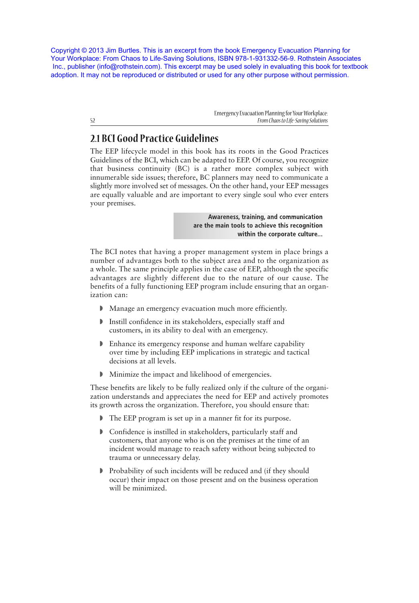```
Emergency Evacuation Planning for Your Workplace:
52 From Chaos to Life-Saving Solutions
```
## **2.1 BCI Good Practice Guidelines**

The EEP lifecycle model in this book has its roots in the Good Practices Guidelines of the BCI, which can be adapted to EEP. Of course, you recognize that business continuity (BC) is a rather more complex subject with innumerable side issues; therefore, BC planners may need to communicate a slightly more involved set of messages. On the other hand, your EEP messages are equally valuable and are important to every single soul who ever enters your premises.

> **Awareness, training, and communication are the main tools to achieve this recognition within the corporate culture...**

The BCI notes that having a proper management system in place brings a number of advantages both to the subject area and to the organization as a whole. The same principle applies in the case of EEP, although the specific advantages are slightly different due to the nature of our cause. The benefits of a fully functioning EEP program include ensuring that an organization can:

- ◗ Manage an emergency evacuation much more efficiently.
- ◗ Instill confidence in its stakeholders, especially staff and customers, in its ability to deal with an emergency.
- ◗ Enhance its emergency response and human welfare capability over time by including EEP implications in strategic and tactical decisions at all levels.
- ◗ Minimize the impact and likelihood of emergencies.

These benefits are likely to be fully realized only if the culture of the organization understands and appreciates the need for EEP and actively promotes its growth across the organization. Therefore, you should ensure that:

- ◗ The EEP program is set up in a manner fit for its purpose.
- ◗ Confidence is instilled in stakeholders, particularly staff and customers, that anyone who is on the premises at the time of an incident would manage to reach safety without being subjected to trauma or unnecessary delay.
- ◗ Probability of such incidents will be reduced and (if they should occur) their impact on those present and on the business operation will be minimized.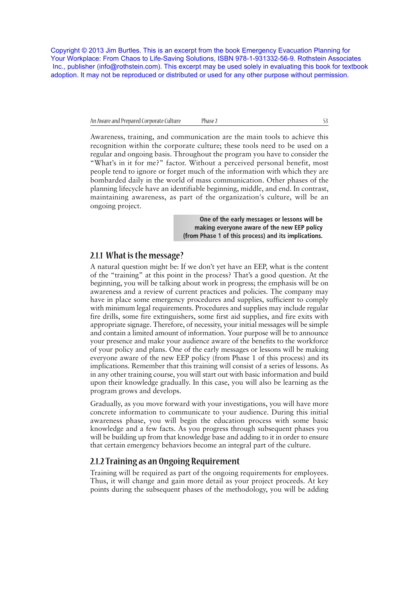| An Aware and Prepared Corporate Culture | Phase 2 |  |
|-----------------------------------------|---------|--|
|-----------------------------------------|---------|--|

Awareness, training, and communication are the main tools to achieve this recognition within the corporate culture; these tools need to be used on a regular and ongoing basis. Throughout the program you have to consider the "What's in it for me?" factor. Without a perceived personal benefit, most people tend to ignore or forget much of the information with which they are bombarded daily in the world of mass communication. Other phases of the planning lifecycle have an identifiable beginning, middle, and end. In contrast, maintaining awareness, as part of the organization's culture, will be an ongoing project.

> **One of the early messages or lessons will be making everyone aware of the new EEP policy (from Phase 1 of this process) and its implications.**

## **2.1.1 What is the message?**

A natural question might be: If we don't yet have an EEP, what is the content of the "training" at this point in the process? That's a good question. At the beginning, you will be talking about work in progress; the emphasis will be on awareness and a review of current practices and policies. The company may have in place some emergency procedures and supplies, sufficient to comply with minimum legal requirements. Procedures and supplies may include regular fire drills, some fire extinguishers, some first aid supplies, and fire exits with appropriate signage. Therefore, of necessity, your initial messages will be simple and contain a limited amount of information. Your purpose will be to announce your presence and make your audience aware of the benefits to the workforce of your policy and plans. One of the early messages or lessons will be making everyone aware of the new EEP policy (from Phase 1 of this process) and its implications. Remember that this training will consist of a series of lessons. As in any other training course, you will start out with basic information and build upon their knowledge gradually. In this case, you will also be learning as the program grows and develops.

Gradually, as you move forward with your investigations, you will have more concrete information to communicate to your audience. During this initial awareness phase, you will begin the education process with some basic knowledge and a few facts. As you progress through subsequent phases you will be building up from that knowledge base and adding to it in order to ensure that certain emergency behaviors become an integral part of the culture.

## **2.1.2 Training as an Ongoing Requirement**

Training will be required as part of the ongoing requirements for employees. Thus, it will change and gain more detail as your project proceeds. At key points during the subsequent phases of the methodology, you will be adding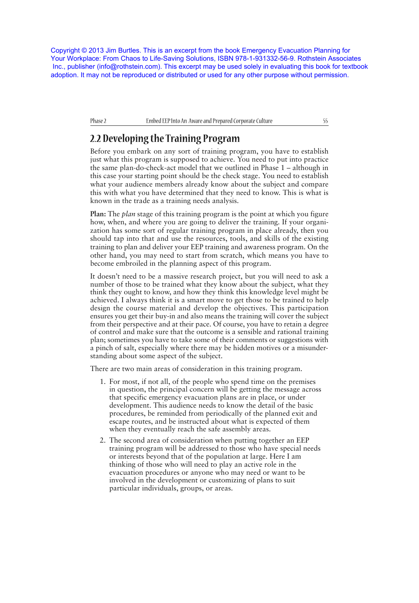Phase 2 **Embed EEP Into An Aware and Prepared Corporate Culture** 55

## **2.2 Developing the Training Program**

Before you embark on any sort of training program, you have to establish just what this program is supposed to achieve. You need to put into practice the same plan-do-check-act model that we outlined in Phase 1 – although in this case your starting point should be the check stage. You need to establish what your audience members already know about the subject and compare this with what you have determined that they need to know. This is what is known in the trade as a training needs analysis.

**Plan:** The *plan* stage of this training program is the point at which you figure how, when, and where you are going to deliver the training. If your organization has some sort of regular training program in place already, then you should tap into that and use the resources, tools, and skills of the existing training to plan and deliver your EEP training and awareness program. On the other hand, you may need to start from scratch, which means you have to become embroiled in the planning aspect of this program.

It doesn't need to be a massive research project, but you will need to ask a number of those to be trained what they know about the subject, what they think they ought to know, and how they think this knowledge level might be achieved. I always think it is a smart move to get those to be trained to help design the course material and develop the objectives. This participation ensures you get their buy-in and also means the training will cover the subject from their perspective and at their pace. Of course, you have to retain a degree of control and make sure that the outcome is a sensible and rational training plan; sometimes you have to take some of their comments or suggestions with a pinch of salt, especially where there may be hidden motives or a misunderstanding about some aspect of the subject.

There are two main areas of consideration in this training program.

- 1. For most, if not all, of the people who spend time on the premises in question, the principal concern will be getting the message across that specific emergency evacuation plans are in place, or under development. This audience needs to know the detail of the basic procedures, be reminded from periodically of the planned exit and escape routes, and be instructed about what is expected of them when they eventually reach the safe assembly areas.
- 2. The second area of consideration when putting together an EEP training program will be addressed to those who have special needs or interests beyond that of the population at large. Here I am thinking of those who will need to play an active role in the evacuation procedures or anyone who may need or want to be involved in the development or customizing of plans to suit particular individuals, groups, or areas.